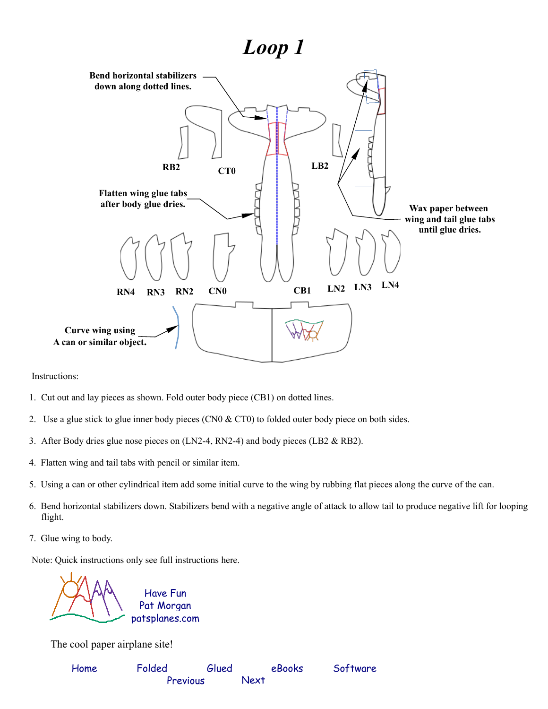## *Loop 1*



Instructions:

- 1. Cut out and lay pieces as shown. Fold outer body piece (CB1) on dotted lines.
- 2. Use a glue stick to glue inner body pieces (CN0  $& C$ T0) to folded outer body piece on both sides.
- 3. After Body dries glue nose pieces on (LN2-4, RN2-4) and body pieces (LB2 & RB2).
- 4. Flatten wing and tail tabs with pencil or similar item.
- 5. Using a can or other cylindrical item add some initial curve to the wing by rubbing flat pieces along the curve of the can.
- 6. Bend horizontal stabilizers down. Stabilizers bend with a negative angle of attack to allow tail to produce negative lift for looping flight.
- 7. Glue wing to body.

Note: Quick instructions only see full instructions here.



The cool paper airplane site!

| Home | Folded   | Glued | eBooks | Software |
|------|----------|-------|--------|----------|
|      | Previous |       | Next   |          |